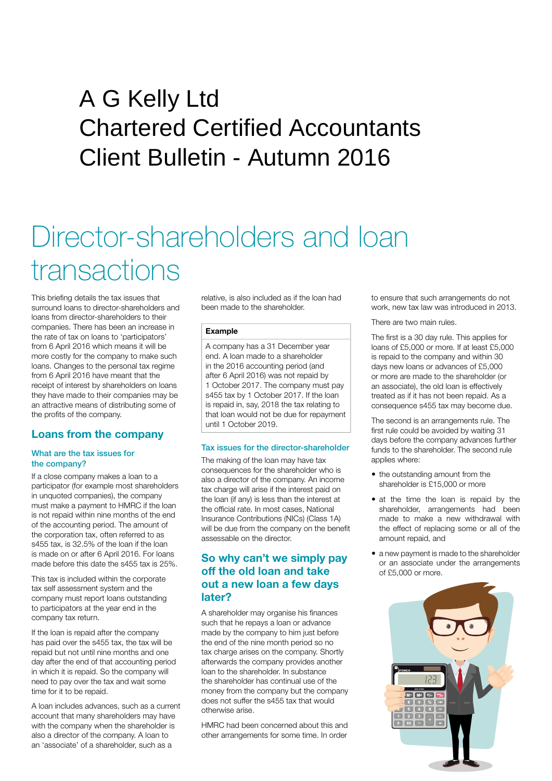## Client Bulletin - Autumn 2016 A G Kelly Ltd Chartered Certified Accountants

# Director-shareholders and loan transactions

This briefing details the tax issues that surround loans to director-shareholders and loans from director-shareholders to their companies. There has been an increase in the rate of tax on loans to 'participators' from 6 April 2016 which means it will be more costly for the company to make such loans. Changes to the personal tax regime from 6 April 2016 have meant that the receipt of interest by shareholders on loans they have made to their companies may be an attractive means of distributing some of the profits of the company.

## **Loans from the company**

#### What are the tax issues for the company?

If a close company makes a loan to a participator (for example most shareholders in unquoted companies), the company must make a payment to HMRC if the loan is not repaid within nine months of the end of the accounting period. The amount of the corporation tax, often referred to as s455 tax, is 32.5% of the loan if the loan is made on or after 6 April 2016. For loans made before this date the s455 tax is 25%.

This tax is included within the corporate tax self assessment system and the company must report loans outstanding to participators at the year end in the company tax return.

If the loan is repaid after the company has paid over the s455 tax, the tax will be repaid but not until nine months and one day after the end of that accounting period in which it is repaid. So the company will need to pay over the tax and wait some time for it to be repaid.

A loan includes advances, such as a current account that many shareholders may have with the company when the shareholder is also a director of the company. A loan to an 'associate' of a shareholder, such as a

relative, is also included as if the loan had been made to the shareholder.

### **Example**

A company has a 31 December year end. A loan made to a shareholder in the 2016 accounting period (and after 6 April 2016) was not repaid by 1 October 2017. The company must pay s455 tax by 1 October 2017. If the loan is repaid in, say, 2018 the tax relating to that loan would not be due for repayment until 1 October 2019.

#### Tax issues for the director-shareholder

The making of the loan may have tax consequences for the shareholder who is also a director of the company. An income tax charge will arise if the interest paid on the loan (if any) is less than the interest at the official rate. In most cases, National Insurance Contributions (NICs) (Class 1A) will be due from the company on the benefit assessable on the director.

## **So why can't we simply pay off the old loan and take out a new loan a few days later?**

A shareholder may organise his finances such that he repays a loan or advance made by the company to him just before the end of the nine month period so no tax charge arises on the company. Shortly afterwards the company provides another loan to the shareholder. In substance the shareholder has continual use of the money from the company but the company does not suffer the s455 tax that would otherwise arise.

HMRC had been concerned about this and other arrangements for some time. In order

to ensure that such arrangements do not work, new tax law was introduced in 2013.

There are two main rules.

The first is a 30 day rule. This applies for loans of £5,000 or more. If at least £5,000 is repaid to the company and within 30 days new loans or advances of £5,000 or more are made to the shareholder (or an associate), the old loan is effectively treated as if it has not been repaid. As a consequence s455 tax may become due.

The second is an arrangements rule. The first rule could be avoided by waiting 31 days before the company advances further funds to the shareholder. The second rule applies where:

- the outstanding amount from the shareholder is £15,000 or more
- at the time the loan is repaid by the shareholder, arrangements had been made to make a new withdrawal with the effect of replacing some or all of the amount repaid, and
- a new payment is made to the shareholder or an associate under the arrangements of £5,000 or more.